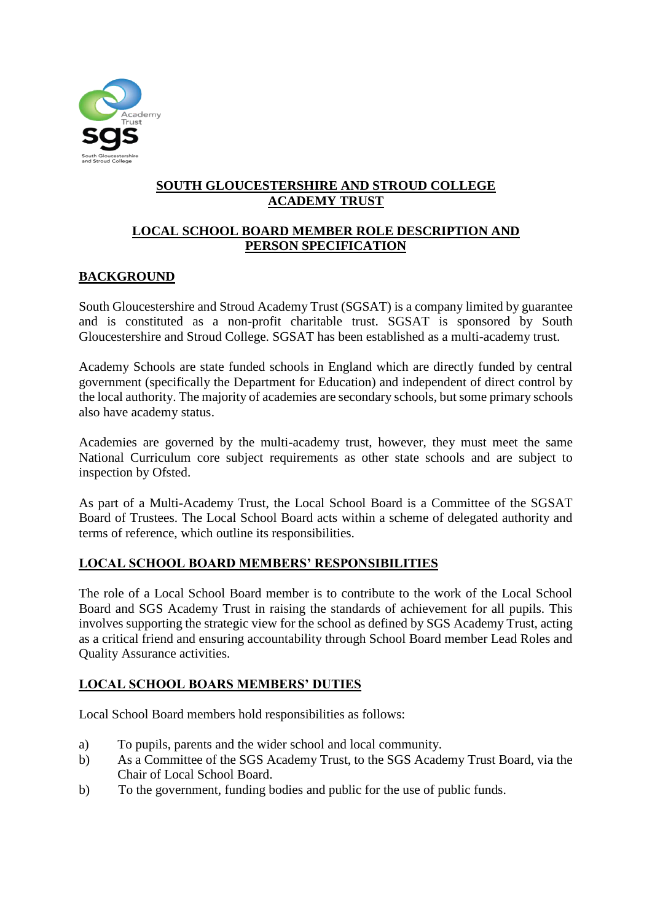

## **SOUTH GLOUCESTERSHIRE AND STROUD COLLEGE ACADEMY TRUST**

## **LOCAL SCHOOL BOARD MEMBER ROLE DESCRIPTION AND PERSON SPECIFICATION**

## **BACKGROUND**

South Gloucestershire and Stroud Academy Trust (SGSAT) is a company limited by guarantee and is constituted as a non-profit charitable trust. SGSAT is sponsored by South Gloucestershire and Stroud College. SGSAT has been established as a multi-academy trust.

Academy Schools are state funded schools in England which are directly funded by central government (specifically the Department for Education) and independent of direct control by the local authority. The majority of academies are secondary schools, but some primary schools also have academy status.

Academies are governed by the multi-academy trust, however, they must meet the same National Curriculum core subject requirements as other state schools and are subject to inspection by Ofsted.

As part of a Multi-Academy Trust, the Local School Board is a Committee of the SGSAT Board of Trustees. The Local School Board acts within a scheme of delegated authority and terms of reference, which outline its responsibilities.

### **LOCAL SCHOOL BOARD MEMBERS' RESPONSIBILITIES**

The role of a Local School Board member is to contribute to the work of the Local School Board and SGS Academy Trust in raising the standards of achievement for all pupils. This involves supporting the strategic view for the school as defined by SGS Academy Trust, acting as a critical friend and ensuring accountability through School Board member Lead Roles and Quality Assurance activities.

### **LOCAL SCHOOL BOARS MEMBERS' DUTIES**

Local School Board members hold responsibilities as follows:

- a) To pupils, parents and the wider school and local community.
- b) As a Committee of the SGS Academy Trust, to the SGS Academy Trust Board, via the Chair of Local School Board.
- b) To the government, funding bodies and public for the use of public funds.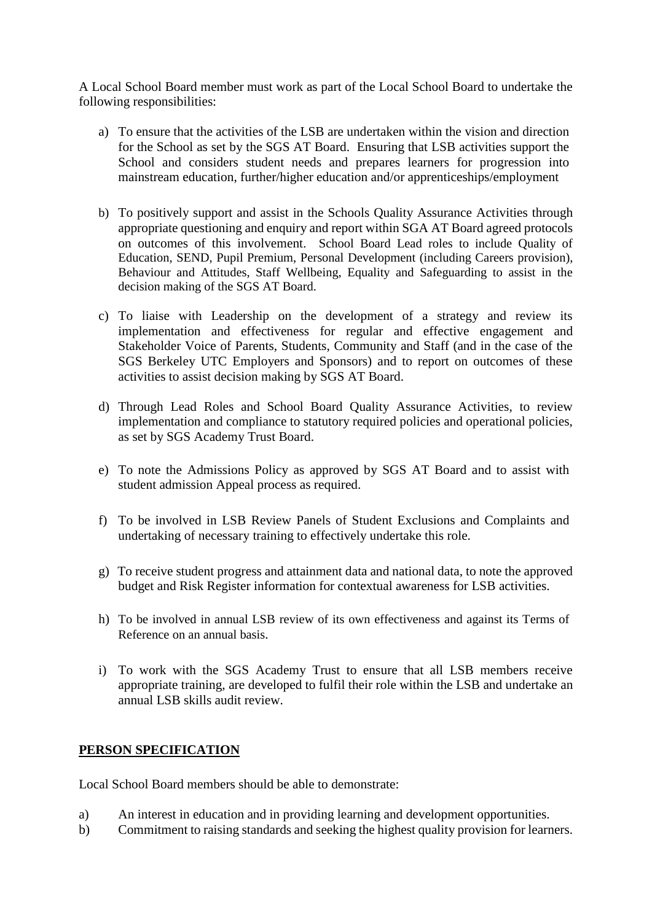A Local School Board member must work as part of the Local School Board to undertake the following responsibilities:

- a) To ensure that the activities of the LSB are undertaken within the vision and direction for the School as set by the SGS AT Board. Ensuring that LSB activities support the School and considers student needs and prepares learners for progression into mainstream education, further/higher education and/or apprenticeships/employment
- b) To positively support and assist in the Schools Quality Assurance Activities through appropriate questioning and enquiry and report within SGA AT Board agreed protocols on outcomes of this involvement. School Board Lead roles to include Quality of Education, SEND, Pupil Premium, Personal Development (including Careers provision), Behaviour and Attitudes, Staff Wellbeing, Equality and Safeguarding to assist in the decision making of the SGS AT Board.
- c) To liaise with Leadership on the development of a strategy and review its implementation and effectiveness for regular and effective engagement and Stakeholder Voice of Parents, Students, Community and Staff (and in the case of the SGS Berkeley UTC Employers and Sponsors) and to report on outcomes of these activities to assist decision making by SGS AT Board.
- d) Through Lead Roles and School Board Quality Assurance Activities, to review implementation and compliance to statutory required policies and operational policies, as set by SGS Academy Trust Board.
- e) To note the Admissions Policy as approved by SGS AT Board and to assist with student admission Appeal process as required.
- f) To be involved in LSB Review Panels of Student Exclusions and Complaints and undertaking of necessary training to effectively undertake this role.
- g) To receive student progress and attainment data and national data, to note the approved budget and Risk Register information for contextual awareness for LSB activities.
- h) To be involved in annual LSB review of its own effectiveness and against its Terms of Reference on an annual basis.
- i) To work with the SGS Academy Trust to ensure that all LSB members receive appropriate training, are developed to fulfil their role within the LSB and undertake an annual LSB skills audit review.

#### **PERSON SPECIFICATION**

Local School Board members should be able to demonstrate:

- a) An interest in education and in providing learning and development opportunities.
- b) Commitment to raising standards and seeking the highest quality provision for learners.